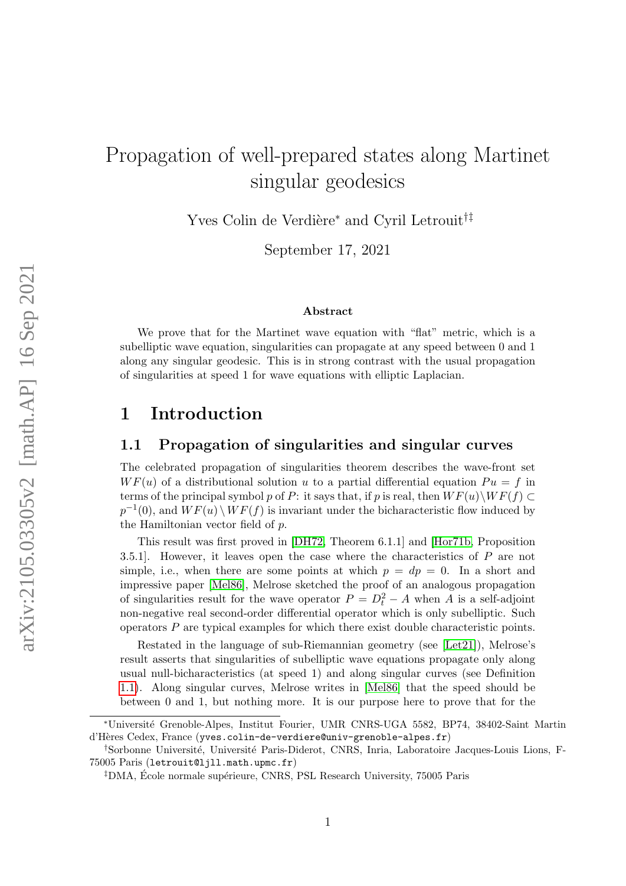# Propagation of well-prepared states along Martinet singular geodesics

Yves Colin de Verdière<sup>∗</sup> and Cyril Letrouit<sup>†‡</sup>

September 17, 2021

#### Abstract

We prove that for the Martinet wave equation with "flat" metric, which is a subelliptic wave equation, singularities can propagate at any speed between 0 and 1 along any singular geodesic. This is in strong contrast with the usual propagation of singularities at speed 1 for wave equations with elliptic Laplacian.

## 1 Introduction

#### 1.1 Propagation of singularities and singular curves

The celebrated propagation of singularities theorem describes the wave-front set  $WF(u)$  of a distributional solution u to a partial differential equation  $Pu = f$  in terms of the principal symbol p of P: it says that, if p is real, then  $WF(u)\setminus WF(f)\subset$  $p^{-1}(0)$ , and  $WF(u) \setminus WF(f)$  is invariant under the bicharacteristic flow induced by the Hamiltonian vector field of p.

This result was first proved in [\[DH72,](#page-13-0) Theorem 6.1.1] and [\[Hor71b,](#page-13-1) Proposition 3.5.1]. However, it leaves open the case where the characteristics of P are not simple, i.e., when there are some points at which  $p = dp = 0$ . In a short and impressive paper [\[Mel86\]](#page-14-0), Melrose sketched the proof of an analogous propagation of singularities result for the wave operator  $P = D_t^2 - A$  when A is a self-adjoint non-negative real second-order differential operator which is only subelliptic. Such operators  $P$  are typical examples for which there exist double characteristic points.

Restated in the language of sub-Riemannian geometry (see [\[Let21\]](#page-14-1)), Melrose's result asserts that singularities of subelliptic wave equations propagate only along usual null-bicharacteristics (at speed 1) and along singular curves (see Definition [1.1\)](#page-1-0). Along singular curves, Melrose writes in [\[Mel86\]](#page-14-0) that the speed should be between 0 and 1, but nothing more. It is our purpose here to prove that for the

<sup>∗</sup>Universit´e Grenoble-Alpes, Institut Fourier, UMR CNRS-UGA 5582, BP74, 38402-Saint Martin d'H`eres Cedex, France (yves.colin-de-verdiere@univ-grenoble-alpes.fr)

<sup>&</sup>lt;sup>†</sup>Sorbonne Université, Université Paris-Diderot, CNRS, Inria, Laboratoire Jacques-Louis Lions, F-75005 Paris (letrouit@ljll.math.upmc.fr)

<sup>&</sup>lt;sup>‡</sup>DMA, École normale supérieure, CNRS, PSL Research University, 75005 Paris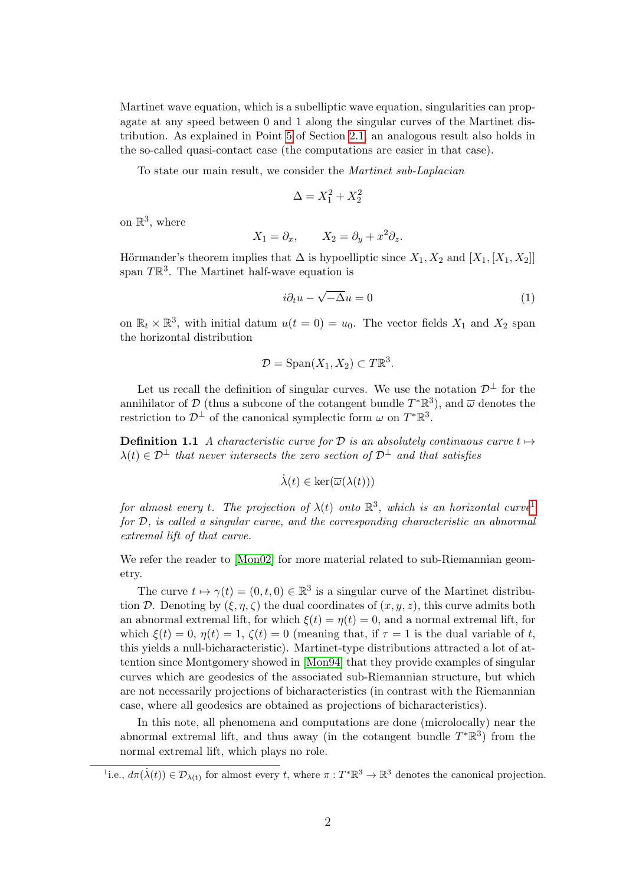Martinet wave equation, which is a subelliptic wave equation, singularities can propagate at any speed between 0 and 1 along the singular curves of the Martinet distribution. As explained in Point [5](#page-4-0) of Section [2.1,](#page-4-1) an analogous result also holds in the so-called quasi-contact case (the computations are easier in that case).

To state our main result, we consider the Martinet sub-Laplacian

$$
\Delta = X_1^2 + X_2^2
$$

on  $\mathbb{R}^3$ , where

$$
X_1 = \partial_x, \qquad X_2 = \partial_y + x^2 \partial_z.
$$

Hörmander's theorem implies that  $\Delta$  is hypoelliptic since  $X_1, X_2$  and  $[X_1, [X_1, X_2]]$ span  $T\mathbb{R}^3$ . The Martinet half-wave equation is

<span id="page-1-2"></span>
$$
i\partial_t u - \sqrt{-\Delta}u = 0\tag{1}
$$

on  $\mathbb{R}_t \times \mathbb{R}^3$ , with initial datum  $u(t = 0) = u_0$ . The vector fields  $X_1$  and  $X_2$  span the horizontal distribution

$$
\mathcal{D} = \text{Span}(X_1, X_2) \subset T\mathbb{R}^3.
$$

Let us recall the definition of singular curves. We use the notation  $\mathcal{D}^{\perp}$  for the annihilator of  $\mathcal{D}$  (thus a subcone of the cotangent bundle  $T^*\mathbb{R}^3$ ), and  $\overline{\omega}$  denotes the restriction to  $\mathcal{D}^{\perp}$  of the canonical symplectic form  $\omega$  on  $T^*\mathbb{R}^3$ .

**Definition 1.1** A characteristic curve for D is an absolutely continuous curve  $t \mapsto$  $\lambda(t) \in \mathcal{D}^{\perp}$  that never intersects the zero section of  $\mathcal{D}^{\perp}$  and that satisfies

<span id="page-1-0"></span>
$$
\dot{\lambda}(t) \in \ker(\overline{\omega}(\lambda(t)))
$$

for almost every t. The projection of  $\lambda(t)$  onto  $\mathbb{R}^3$ , which is an horizontal curve<sup>[1](#page-1-1)</sup> for D, is called a singular curve, and the corresponding characteristic an abnormal extremal lift of that curve.

We refer the reader to [\[Mon02\]](#page-14-2) for more material related to sub-Riemannian geometry.

The curve  $t \mapsto \gamma(t) = (0, t, 0) \in \mathbb{R}^3$  is a singular curve of the Martinet distribution D. Denoting by  $(\xi, \eta, \zeta)$  the dual coordinates of  $(x, y, z)$ , this curve admits both an abnormal extremal lift, for which  $\xi(t) = \eta(t) = 0$ , and a normal extremal lift, for which  $\xi(t) = 0$ ,  $\eta(t) = 1$ ,  $\zeta(t) = 0$  (meaning that, if  $\tau = 1$  is the dual variable of t. this yields a null-bicharacteristic). Martinet-type distributions attracted a lot of attention since Montgomery showed in [\[Mon94\]](#page-14-3) that they provide examples of singular curves which are geodesics of the associated sub-Riemannian structure, but which are not necessarily projections of bicharacteristics (in contrast with the Riemannian case, where all geodesics are obtained as projections of bicharacteristics).

In this note, all phenomena and computations are done (microlocally) near the abnormal extremal lift, and thus away (in the cotangent bundle  $T^*\mathbb{R}^3$ ) from the normal extremal lift, which plays no role.

<span id="page-1-1"></span><sup>&</sup>lt;sup>1</sup>i.e.,  $d\pi(\dot{\lambda}(t)) \in \mathcal{D}_{\lambda(t)}$  for almost every t, where  $\pi : T^* \mathbb{R}^3 \to \mathbb{R}^3$  denotes the canonical projection.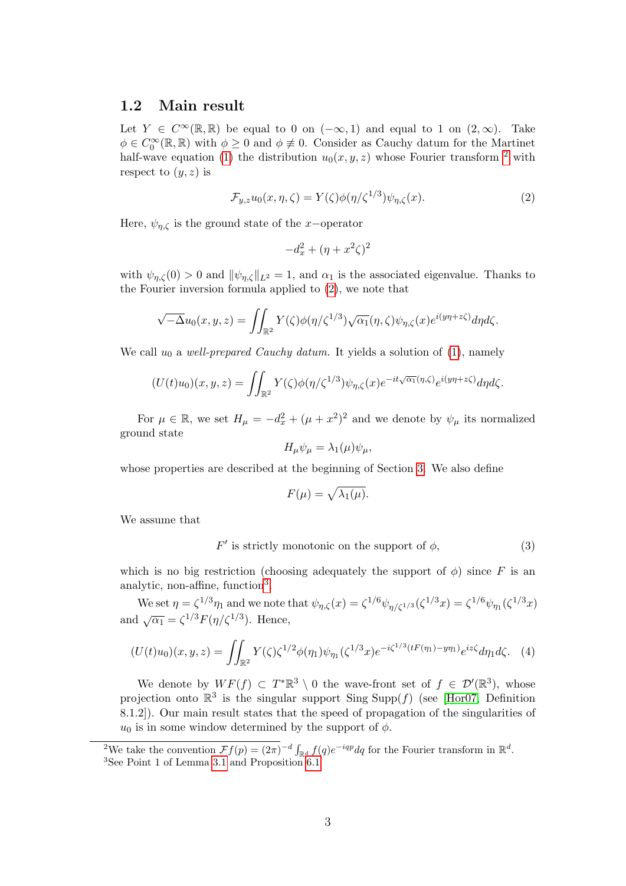#### 1.2 Main result

Let  $Y \in C^{\infty}(\mathbb{R}, \mathbb{R})$  be equal to 0 on  $(-\infty, 1)$  and equal to 1 on  $(2, \infty)$ . Take  $\phi \in C_0^{\infty}(\mathbb{R}, \mathbb{R})$  with  $\phi \geq 0$  and  $\phi \not\equiv 0$ . Consider as Cauchy datum for the Martinet half-wave equation [\(1\)](#page-1-2) the distribution  $u_0(x, y, z)$  whose Fourier transform <sup>[2](#page-2-0)</sup> with respect to  $(y, z)$  is

<span id="page-2-1"></span>
$$
\mathcal{F}_{y,z}u_0(x,\eta,\zeta) = Y(\zeta)\phi(\eta/\zeta^{1/3})\psi_{\eta,\zeta}(x). \tag{2}
$$

Here,  $\psi_{n,\zeta}$  is the ground state of the x-operator

$$
-d_x^2 + (\eta + x^2\zeta)^2
$$

with  $\psi_{n,\zeta}(0) > 0$  and  $\|\psi_{n,\zeta}\|_{L^2} = 1$ , and  $\alpha_1$  is the associated eigenvalue. Thanks to the Fourier inversion formula applied to [\(2\)](#page-2-1), we note that

$$
\sqrt{-\Delta}u_0(x,y,z)=\iint_{\mathbb{R}^2} Y(\zeta)\phi(\eta/\zeta^{1/3})\sqrt{\alpha_1}(\eta,\zeta)\psi_{\eta,\zeta}(x)e^{i(y\eta+z\zeta)}d\eta d\zeta.
$$

We call  $u_0$  a well-prepared Cauchy datum. It yields a solution of [\(1\)](#page-1-2), namely

$$
(U(t)u_0)(x,y,z) = \iint_{\mathbb{R}^2} Y(\zeta)\phi(\eta/\zeta^{1/3})\psi_{\eta,\zeta}(x)e^{-it\sqrt{\alpha_1}(\eta,\zeta)}e^{i(y\eta+z\zeta)}d\eta d\zeta.
$$

For  $\mu \in \mathbb{R}$ , we set  $H_{\mu} = -d_x^2 + (\mu + x^2)^2$  and we denote by  $\psi_{\mu}$  its normalized ground state

$$
H_{\mu}\psi_{\mu} = \lambda_1(\mu)\psi_{\mu},
$$

whose properties are described at the beginning of Section [3.](#page-6-0) We also define

$$
F(\mu) = \sqrt{\lambda_1(\mu)}.
$$

We assume that

<span id="page-2-5"></span><span id="page-2-3"></span> $F'$  is strictly monotonic on the support of  $\phi$ , (3)

which is no big restriction (choosing adequately the support of  $\phi$ ) since F is an analytic, non-affine, function<sup>[3](#page-2-2)</sup>.

We set  $\eta = \zeta^{1/3} \eta_1$  and we note that  $\psi_{\eta, \zeta}(x) = \zeta^{1/6} \psi_{\eta/\zeta^{1/3}}(\zeta^{1/3} x) = \zeta^{1/6} \psi_{\eta_1}(\zeta^{1/3} x)$ and  $\sqrt{\alpha_1} = \zeta^{1/3} F(\eta/\zeta^{1/3})$ . Hence,

<span id="page-2-4"></span>
$$
(U(t)u_0)(x,y,z) = \iint_{\mathbb{R}^2} Y(\zeta)\zeta^{1/2}\phi(\eta_1)\psi_{\eta_1}(\zeta^{1/3}x)e^{-i\zeta^{1/3}(tF(\eta_1)-y\eta_1)}e^{iz\zeta}d\eta_1d\zeta.
$$
 (4)

We denote by  $WF(f) \subset T^*\mathbb{R}^3 \setminus 0$  the wave-front set of  $f \in \mathcal{D}'(\mathbb{R}^3)$ , whose projection onto  $\mathbb{R}^3$  is the singular support Sing Supp(f) (see [\[Hor07,](#page-13-2) Definition 8.1.2]). Our main result states that the speed of propagation of the singularities of  $u_0$  is in some window determined by the support of  $\phi$ .

<span id="page-2-2"></span><span id="page-2-0"></span><sup>&</sup>lt;sup>2</sup>We take the convention  $\mathcal{F}f(p) = (2\pi)^{-d} \int_{\mathbb{R}^d} f(q) e^{-iqp} dq$  for the Fourier transform in  $\mathbb{R}^d$ . <sup>3</sup>See Point 1 of Lemma [3.1](#page-6-1) and Proposition [6.1](#page-11-0)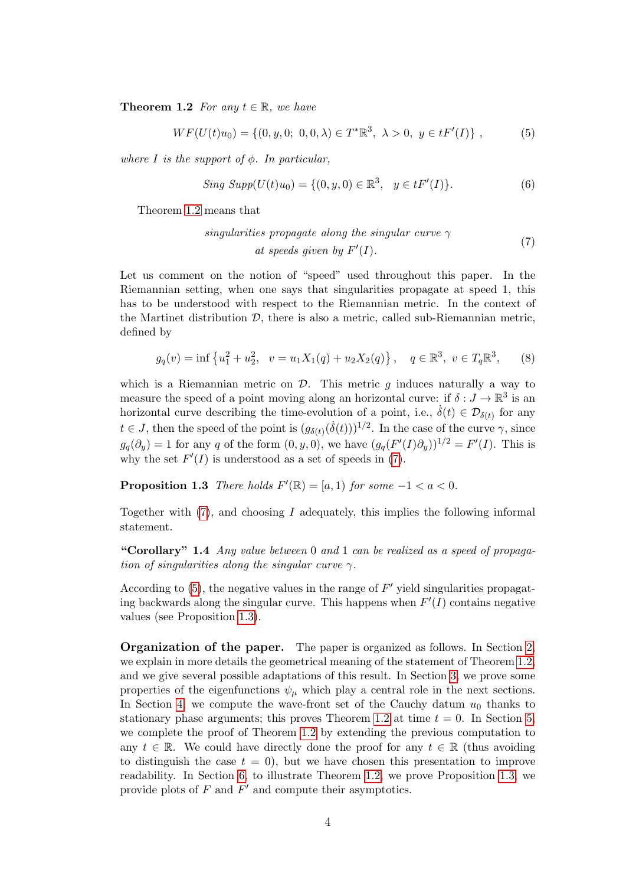**Theorem 1.2** For any  $t \in \mathbb{R}$ , we have

<span id="page-3-1"></span>
$$
WF(U(t)u_0) = \{(0, y, 0; 0, 0, \lambda) \in T^*\mathbb{R}^3, \ \lambda > 0, \ y \in tF'(I)\},\tag{5}
$$

where I is the support of  $\phi$ . In particular,

$$
Sing \, Supp(U(t)u_0) = \{(0, y, 0) \in \mathbb{R}^3, \, y \in tF'(I)\}.
$$
 (6)

<span id="page-3-0"></span>Theorem [1.2](#page-2-3) means that

singularities propagate along the singular curve 
$$
\gamma
$$

\nat speeds given by  $F'(I)$ .

\n(7)

Let us comment on the notion of "speed" used throughout this paper. In the Riemannian setting, when one says that singularities propagate at speed 1, this has to be understood with respect to the Riemannian metric. In the context of the Martinet distribution  $\mathcal{D}$ , there is also a metric, called sub-Riemannian metric, defined by

$$
g_q(v) = \inf \left\{ u_1^2 + u_2^2, \ v = u_1 X_1(q) + u_2 X_2(q) \right\}, \ q \in \mathbb{R}^3, \ v \in T_q \mathbb{R}^3, \tag{8}
$$

which is a Riemannian metric on  $\mathcal{D}$ . This metric q induces naturally a way to measure the speed of a point moving along an horizontal curve: if  $\delta: J \to \mathbb{R}^3$  is an horizontal curve describing the time-evolution of a point, i.e.,  $\dot{\delta}(t) \in \mathcal{D}_{\delta(t)}$  for any  $t \in J$ , then the speed of the point is  $(g_{\delta(t)}(\dot{\delta}(t)))^{1/2}$ . In the case of the curve  $\gamma$ , since  $g_q(\partial_y) = 1$  for any q of the form  $(0, y, 0)$ , we have  $(g_q(F'(I)\partial_y))^{1/2} = F'(I)$ . This is why the set  $F'(I)$  is understood as a set of speeds in [\(7\)](#page-3-0).

<span id="page-3-2"></span>**Proposition 1.3** There holds  $F'(\mathbb{R}) = [a, 1)$  for some  $-1 < a < 0$ .

Together with  $(7)$ , and choosing I adequately, this implies the following informal statement.

"Corollary" 1.4 Any value between  $0$  and  $1$  can be realized as a speed of propagation of singularities along the singular curve  $\gamma$ .

According to  $(5)$ , the negative values in the range of  $F'$  yield singularities propagating backwards along the singular curve. This happens when  $F'(I)$  contains negative values (see Proposition [1.3\)](#page-3-2).

Organization of the paper. The paper is organized as follows. In Section [2,](#page-4-2) we explain in more details the geometrical meaning of the statement of Theorem [1.2,](#page-2-3) and we give several possible adaptations of this result. In Section [3,](#page-6-0) we prove some properties of the eigenfunctions  $\psi_{\mu}$  which play a central role in the next sections. In Section [4,](#page-7-0) we compute the wave-front set of the Cauchy datum  $u_0$  thanks to stationary phase arguments; this proves Theorem [1.2](#page-2-3) at time  $t = 0$ . In Section [5,](#page-9-0) we complete the proof of Theorem [1.2](#page-2-3) by extending the previous computation to any  $t \in \mathbb{R}$ . We could have directly done the proof for any  $t \in \mathbb{R}$  (thus avoiding to distinguish the case  $t = 0$ , but we have chosen this presentation to improve readability. In Section [6,](#page-10-0) to illustrate Theorem [1.2,](#page-2-3) we prove Proposition [1.3,](#page-3-2) we provide plots of  $F$  and  $F'$  and compute their asymptotics.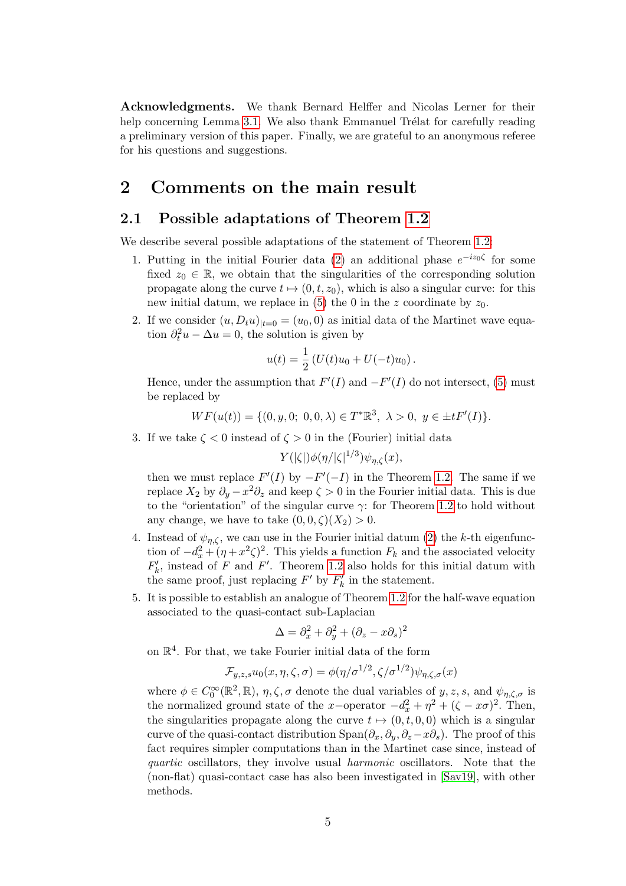Acknowledgments. We thank Bernard Helffer and Nicolas Lerner for their help concerning Lemma [3.1.](#page-6-1) We also thank Emmanuel Trélat for carefully reading a preliminary version of this paper. Finally, we are grateful to an anonymous referee for his questions and suggestions.

### <span id="page-4-2"></span>2 Comments on the main result

#### <span id="page-4-1"></span>2.1 Possible adaptations of Theorem [1.2](#page-2-3)

We describe several possible adaptations of the statement of Theorem [1.2:](#page-2-3)

- 1. Putting in the initial Fourier data [\(2\)](#page-2-1) an additional phase  $e^{-iz_0\zeta}$  for some fixed  $z_0 \in \mathbb{R}$ , we obtain that the singularities of the corresponding solution propagate along the curve  $t \mapsto (0, t, z_0)$ , which is also a singular curve: for this new initial datum, we replace in [\(5\)](#page-3-1) the 0 in the z coordinate by  $z_0$ .
- 2. If we consider  $(u, D_t u)_{|t=0} = (u_0, 0)$  as initial data of the Martinet wave equation  $\partial_t^2 u - \Delta u = 0$ , the solution is given by

$$
u(t) = \frac{1}{2} (U(t)u_0 + U(-t)u_0).
$$

Hence, under the assumption that  $F'(I)$  and  $-F'(I)$  do not intersect, [\(5\)](#page-3-1) must be replaced by

$$
WF(u(t)) = \{ (0, y, 0; 0, 0, \lambda) \in T^* \mathbb{R}^3, \ \lambda > 0, \ y \in \pm tF'(I) \}.
$$

3. If we take  $\zeta < 0$  instead of  $\zeta > 0$  in the (Fourier) initial data

 $Y(|\zeta|) \phi(\eta/|\zeta|^{1/3}) \psi_{\eta,\zeta}(x),$ 

then we must replace  $F'(I)$  by  $-F'(-I)$  in the Theorem [1.2.](#page-2-3) The same if we replace  $X_2$  by  $\partial_y - x^2 \partial_z$  and keep  $\zeta > 0$  in the Fourier initial data. This is due to the "orientation" of the singular curve  $\gamma$ : for Theorem [1.2](#page-2-3) to hold without any change, we have to take  $(0, 0, \zeta)(X_2) > 0$ .

- <span id="page-4-3"></span>4. Instead of  $\psi_{n,\zeta}$ , we can use in the Fourier initial datum [\(2\)](#page-2-1) the k-th eigenfunction of  $-d_x^2 + (\eta + x^2\zeta)^2$ . This yields a function  $F_k$  and the associated velocity  $F'_{k}$ , instead of F and F'. Theorem [1.2](#page-2-3) also holds for this initial datum with the same proof, just replacing  $F'$  by  $F'_{k}$  in the statement.
- <span id="page-4-0"></span>5. It is possible to establish an analogue of Theorem [1.2](#page-2-3) for the half-wave equation associated to the quasi-contact sub-Laplacian

$$
\Delta = \partial_x^2 + \partial_y^2 + (\partial_z - x\partial_s)^2
$$

on  $\mathbb{R}^4$ . For that, we take Fourier initial data of the form

$$
\mathcal{F}_{y,z,s}u_0(x,\eta,\zeta,\sigma)=\phi(\eta/\sigma^{1/2},\zeta/\sigma^{1/2})\psi_{\eta,\zeta,\sigma}(x)
$$

where  $\phi \in C_0^{\infty}(\mathbb{R}^2, \mathbb{R}), \eta, \zeta, \sigma$  denote the dual variables of  $y, z, s$ , and  $\psi_{\eta, \zeta, \sigma}$  is the normalized ground state of the x-operator  $-d_x^2 + \eta^2 + (\zeta - x\sigma)^2$ . Then, the singularities propagate along the curve  $t \mapsto (0, t, 0, 0)$  which is a singular curve of the quasi-contact distribution  $\text{Span}(\partial_x, \partial_y, \partial_z-x\partial_s)$ . The proof of this fact requires simpler computations than in the Martinet case since, instead of quartic oscillators, they involve usual harmonic oscillators. Note that the (non-flat) quasi-contact case has also been investigated in [\[Sav19\]](#page-14-4), with other methods.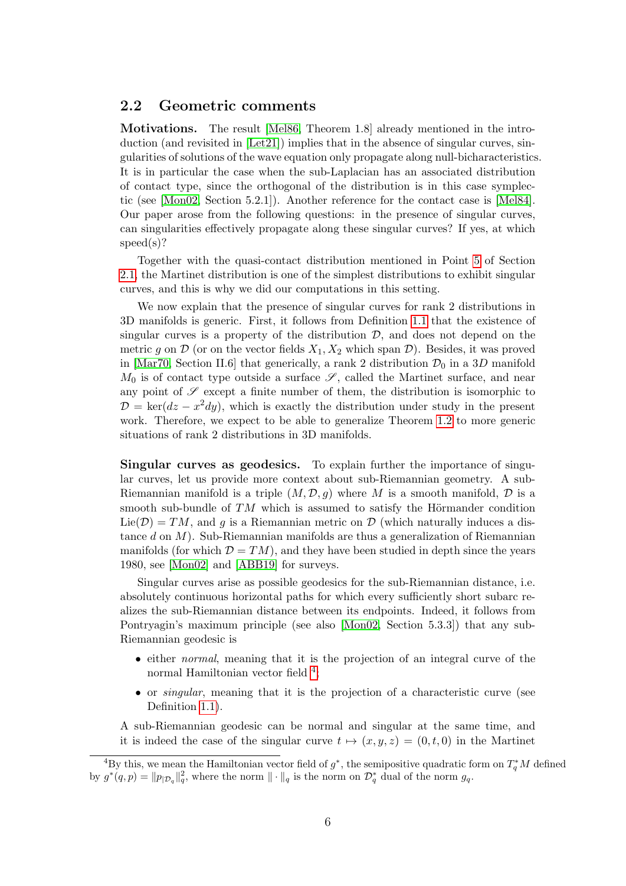#### 2.2 Geometric comments

Motivations. The result [\[Mel86,](#page-14-0) Theorem 1.8] already mentioned in the introduction (and revisited in [\[Let21\]](#page-14-1)) implies that in the absence of singular curves, singularities of solutions of the wave equation only propagate along null-bicharacteristics. It is in particular the case when the sub-Laplacian has an associated distribution of contact type, since the orthogonal of the distribution is in this case symplectic (see [\[Mon02,](#page-14-2) Section 5.2.1]). Another reference for the contact case is [\[Mel84\]](#page-14-5). Our paper arose from the following questions: in the presence of singular curves, can singularities effectively propagate along these singular curves? If yes, at which speed(s)?

Together with the quasi-contact distribution mentioned in Point [5](#page-4-0) of Section [2.1,](#page-4-1) the Martinet distribution is one of the simplest distributions to exhibit singular curves, and this is why we did our computations in this setting.

We now explain that the presence of singular curves for rank 2 distributions in 3D manifolds is generic. First, it follows from Definition [1.1](#page-1-0) that the existence of singular curves is a property of the distribution  $\mathcal{D}$ , and does not depend on the metric g on  $\mathcal D$  (or on the vector fields  $X_1, X_2$  which span  $\mathcal D$ ). Besides, it was proved in [\[Mar70,](#page-14-6) Section II.6] that generically, a rank 2 distribution  $\mathcal{D}_0$  in a 3D manifold  $M_0$  is of contact type outside a surface  $\mathscr{S}$ , called the Martinet surface, and near any point of  $\mathscr S$  except a finite number of them, the distribution is isomorphic to  $\mathcal{D} = \text{ker}(dz - x^2 dy)$ , which is exactly the distribution under study in the present work. Therefore, we expect to be able to generalize Theorem [1.2](#page-2-3) to more generic situations of rank 2 distributions in 3D manifolds.

Singular curves as geodesics. To explain further the importance of singular curves, let us provide more context about sub-Riemannian geometry. A sub-Riemannian manifold is a triple  $(M, \mathcal{D}, g)$  where M is a smooth manifold,  $\mathcal D$  is a smooth sub-bundle of  $TM$  which is assumed to satisfy the Hörmander condition  $Lie(\mathcal{D}) = TM$ , and g is a Riemannian metric on  $\mathcal{D}$  (which naturally induces a distance d on  $M$ ). Sub-Riemannian manifolds are thus a generalization of Riemannian manifolds (for which  $\mathcal{D} = TM$ ), and they have been studied in depth since the years 1980, see [\[Mon02\]](#page-14-2) and [\[ABB19\]](#page-13-3) for surveys.

Singular curves arise as possible geodesics for the sub-Riemannian distance, i.e. absolutely continuous horizontal paths for which every sufficiently short subarc realizes the sub-Riemannian distance between its endpoints. Indeed, it follows from Pontryagin's maximum principle (see also [\[Mon02,](#page-14-2) Section 5.3.3]) that any sub-Riemannian geodesic is

- either normal, meaning that it is the projection of an integral curve of the normal Hamiltonian vector field <sup>[4](#page-5-0)</sup>;
- or singular, meaning that it is the projection of a characteristic curve (see Definition [1.1\)](#page-1-0).

A sub-Riemannian geodesic can be normal and singular at the same time, and it is indeed the case of the singular curve  $t \mapsto (x, y, z) = (0, t, 0)$  in the Martinet

<span id="page-5-0"></span><sup>&</sup>lt;sup>4</sup>By this, we mean the Hamiltonian vector field of  $g^*$ , the semipositive quadratic form on  $T_q^*M$  defined by  $g^*(q, p) = ||p_{|\mathcal{D}_q}||_q^2$ , where the norm  $||\cdot||_q$  is the norm on  $\mathcal{D}_q^*$  dual of the norm  $g_q$ .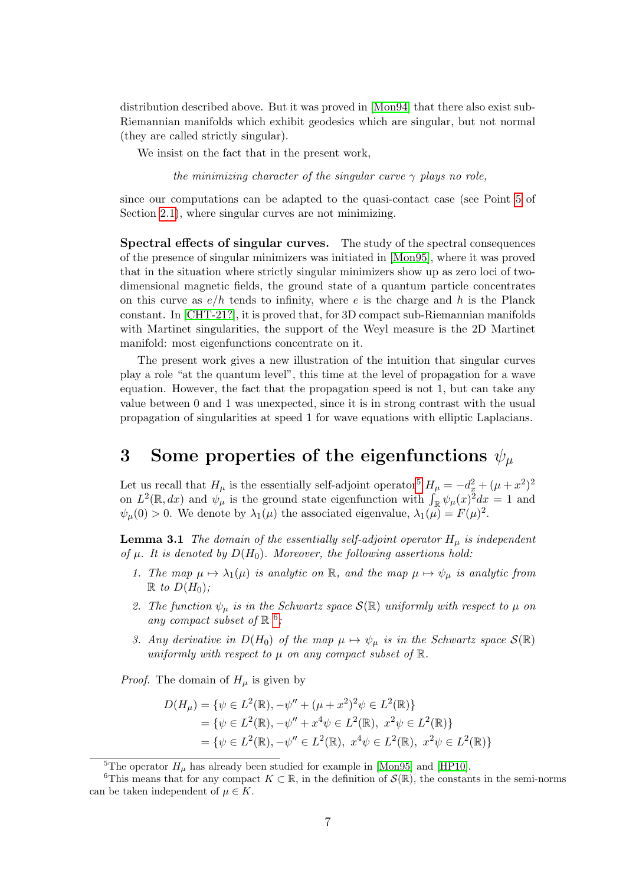distribution described above. But it was proved in [\[Mon94\]](#page-14-3) that there also exist sub-Riemannian manifolds which exhibit geodesics which are singular, but not normal (they are called strictly singular).

We insist on the fact that in the present work,

the minimizing character of the singular curve  $\gamma$  plays no role,

since our computations can be adapted to the quasi-contact case (see Point [5](#page-4-0) of Section [2.1\)](#page-4-1), where singular curves are not minimizing.

Spectral effects of singular curves. The study of the spectral consequences of the presence of singular minimizers was initiated in [\[Mon95\]](#page-14-7), where it was proved that in the situation where strictly singular minimizers show up as zero loci of twodimensional magnetic fields, the ground state of a quantum particle concentrates on this curve as  $e/h$  tends to infinity, where e is the charge and h is the Planck constant. In [\[CHT-21?\]](#page-13-4), it is proved that, for 3D compact sub-Riemannian manifolds with Martinet singularities, the support of the Weyl measure is the 2D Martinet manifold: most eigenfunctions concentrate on it.

The present work gives a new illustration of the intuition that singular curves play a role "at the quantum level", this time at the level of propagation for a wave equation. However, the fact that the propagation speed is not 1, but can take any value between 0 and 1 was unexpected, since it is in strong contrast with the usual propagation of singularities at speed 1 for wave equations with elliptic Laplacians.

# <span id="page-6-0"></span>3 Some properties of the eigenfunctions  $\psi_{\mu}$

Let us recall that  $H_{\mu}$  is the essentially self-adjoint operator<sup>[5](#page-6-2)</sup>  $H_{\mu} = -d_x^2 + (\mu + x^2)^2$ on  $L^2(\mathbb{R}, dx)$  and  $\psi_\mu$  is the ground state eigenfunction with  $\int_{\mathbb{R}} \psi_\mu(x)^2 dx = 1$  and  $\psi_{\mu}(0) > 0$ . We denote by  $\lambda_1(\mu)$  the associated eigenvalue,  $\lambda_1(\mu) = F(\mu)^2$ .

<span id="page-6-1"></span>**Lemma 3.1** The domain of the essentially self-adjoint operator  $H_\mu$  is independent of  $\mu$ . It is denoted by  $D(H_0)$ . Moreover, the following assertions hold:

- 1. The map  $\mu \mapsto \lambda_1(\mu)$  is analytic on R, and the map  $\mu \mapsto \psi_\mu$  is analytic from  $\mathbb R$  to  $D(H_0)$ :
- 2. The function  $\psi_{\mu}$  is in the Schwartz space  $\mathcal{S}(\mathbb{R})$  uniformly with respect to  $\mu$  on any compact subset of  $\mathbb{R}^6$  $\mathbb{R}^6$ ;
- 3. Any derivative in  $D(H_0)$  of the map  $\mu \mapsto \psi_{\mu}$  is in the Schwartz space  $\mathcal{S}(\mathbb{R})$ uniformly with respect to  $\mu$  on any compact subset of  $\mathbb{R}$ .

*Proof.* The domain of  $H_\mu$  is given by

$$
D(H_{\mu}) = \{ \psi \in L^{2}(\mathbb{R}), -\psi'' + (\mu + x^{2})^{2} \psi \in L^{2}(\mathbb{R}) \}
$$
  
=  $\{ \psi \in L^{2}(\mathbb{R}), -\psi'' + x^{4} \psi \in L^{2}(\mathbb{R}), x^{2} \psi \in L^{2}(\mathbb{R}) \}$   
=  $\{ \psi \in L^{2}(\mathbb{R}), -\psi'' \in L^{2}(\mathbb{R}), x^{4} \psi \in L^{2}(\mathbb{R}), x^{2} \psi \in L^{2}(\mathbb{R}) \}$ 

<span id="page-6-3"></span><span id="page-6-2"></span><sup>5</sup>The operator  $H_u$  has already been studied for example in [\[Mon95\]](#page-14-7) and [\[HP10\]](#page-13-5).

<sup>&</sup>lt;sup>6</sup>This means that for any compact  $K \subset \mathbb{R}$ , in the definition of  $\mathcal{S}(\mathbb{R})$ , the constants in the semi-norms can be taken independent of  $\mu \in K$ .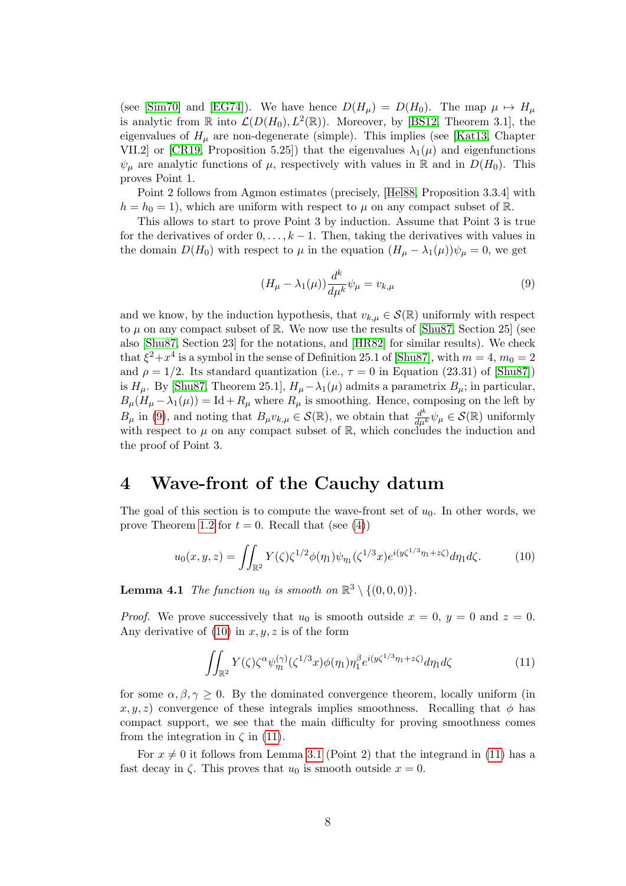(see [\[Sim70\]](#page-14-8) and [\[EG74\]](#page-13-6)). We have hence  $D(H_\mu) = D(H_0)$ . The map  $\mu \mapsto H_\mu$ is analytic from  $\mathbb R$  into  $\mathcal L(D(H_0), L^2(\mathbb R))$ . Moreover, by [\[BS12,](#page-13-7) Theorem 3.1], the eigenvalues of  $H_{\mu}$  are non-degenerate (simple). This implies (see [\[Kat13,](#page-14-9) Chapter VII.2] or [\[CR19,](#page-13-8) Proposition 5.25]) that the eigenvalues  $\lambda_1(\mu)$  and eigenfunctions  $\psi_{\mu}$  are analytic functions of  $\mu$ , respectively with values in R and in  $D(H_0)$ . This proves Point 1.

Point 2 follows from Agmon estimates (precisely, [\[Hel88,](#page-13-9) Proposition 3.3.4] with  $h = h_0 = 1$ , which are uniform with respect to  $\mu$  on any compact subset of R.

This allows to start to prove Point 3 by induction. Assume that Point 3 is true for the derivatives of order  $0, \ldots, k-1$ . Then, taking the derivatives with values in the domain  $D(H_0)$  with respect to  $\mu$  in the equation  $(H_\mu - \lambda_1(\mu))\psi_\mu = 0$ , we get

<span id="page-7-1"></span>
$$
(H_{\mu} - \lambda_1(\mu))\frac{d^k}{d\mu^k}\psi_{\mu} = v_{k,\mu}
$$
\n<sup>(9)</sup>

and we know, by the induction hypothesis, that  $v_{k,\mu} \in \mathcal{S}(\mathbb{R})$  uniformly with respect to  $\mu$  on any compact subset of  $\mathbb{R}$ . We now use the results of [\[Shu87,](#page-14-10) Section 25] (see also [\[Shu87,](#page-14-10) Section 23] for the notations, and [\[HR82\]](#page-13-10) for similar results). We check that  $\xi^2 + x^4$  is a symbol in the sense of Definition 25.1 of [\[Shu87\]](#page-14-10), with  $m = 4$ ,  $m_0 = 2$ and  $\rho = 1/2$ . Its standard quantization (i.e.,  $\tau = 0$  in Equation (23.31) of [\[Shu87\]](#page-14-10)) is  $H_\mu$ . By [\[Shu87,](#page-14-10) Theorem 25.1],  $H_\mu - \lambda_1(\mu)$  admits a parametrix  $B_\mu$ ; in particular,  $B_{\mu}(H_{\mu} - \lambda_1(\mu)) = \text{Id} + R_{\mu}$  where  $R_{\mu}$  is smoothing. Hence, composing on the left by  $B_{\mu}$  in [\(9\)](#page-7-1), and noting that  $B_{\mu}v_{k,\mu} \in \mathcal{S}(\mathbb{R})$ , we obtain that  $\frac{d^k}{d\mu^k}\psi_{\mu} \in \mathcal{S}(\mathbb{R})$  uniformly with respect to  $\mu$  on any compact subset of R, which concludes the induction and the proof of Point 3.

### <span id="page-7-0"></span>4 Wave-front of the Cauchy datum

The goal of this section is to compute the wave-front set of  $u_0$ . In other words, we prove Theorem [1.2](#page-2-3) for  $t = 0$ . Recall that (see [\(4\)](#page-2-4))

<span id="page-7-2"></span>
$$
u_0(x, y, z) = \iint_{\mathbb{R}^2} Y(\zeta) \zeta^{1/2} \phi(\eta_1) \psi_{\eta_1}(\zeta^{1/3} x) e^{i(y\zeta^{1/3}\eta_1 + z\zeta)} d\eta_1 d\zeta.
$$
 (10)

<span id="page-7-4"></span>**Lemma 4.1** The function  $u_0$  is smooth on  $\mathbb{R}^3 \setminus \{(0,0,0)\}.$ 

*Proof.* We prove successively that  $u_0$  is smooth outside  $x = 0$ ,  $y = 0$  and  $z = 0$ . Any derivative of  $(10)$  in  $x, y, z$  is of the form

<span id="page-7-3"></span>
$$
\iint_{\mathbb{R}^2} Y(\zeta) \zeta^{\alpha} \psi_{\eta_1}^{(\gamma)}(\zeta^{1/3} x) \phi(\eta_1) \eta_1^{\beta} e^{i(y\zeta^{1/3}\eta_1 + z\zeta)} d\eta_1 d\zeta \tag{11}
$$

for some  $\alpha, \beta, \gamma \geq 0$ . By the dominated convergence theorem, locally uniform (in  $x, y, z$ ) convergence of these integrals implies smoothness. Recalling that  $\phi$  has compact support, we see that the main difficulty for proving smoothness comes from the integration in  $\zeta$  in [\(11\)](#page-7-3).

For  $x \neq 0$  it follows from Lemma [3.1](#page-6-1) (Point 2) that the integrand in [\(11\)](#page-7-3) has a fast decay in  $\zeta$ . This proves that  $u_0$  is smooth outside  $x = 0$ .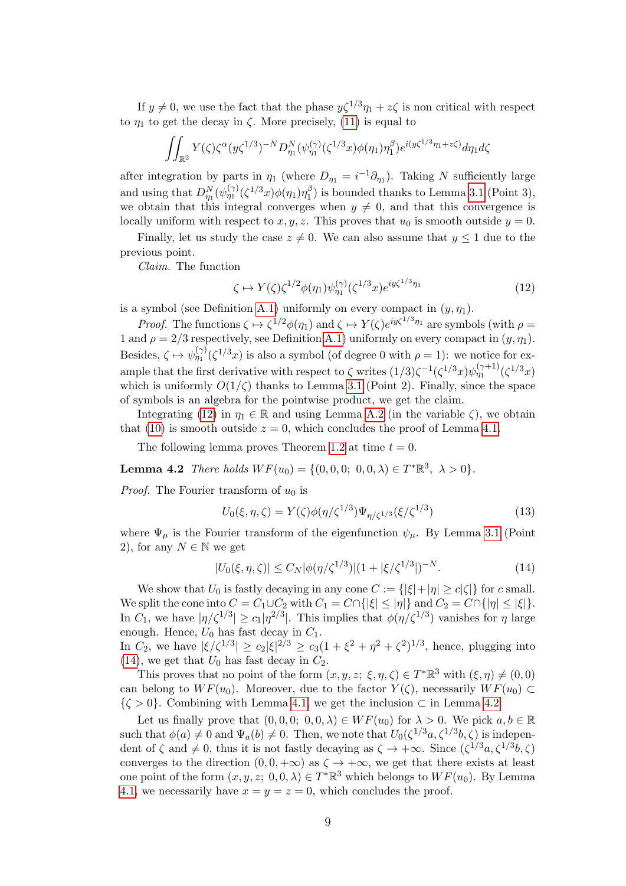If  $y \neq 0$ , we use the fact that the phase  $y\zeta^{1/3}\eta_1 + z\zeta$  is non critical with respect to  $\eta_1$  to get the decay in  $\zeta$ . More precisely, [\(11\)](#page-7-3) is equal to

$$
\iint_{\mathbb{R}^2} Y(\zeta) \zeta^{\alpha} (y \zeta^{1/3})^{-N} D_{\eta_1}^N(\psi_{\eta_1}^{(\gamma)}(\zeta^{1/3} x) \phi(\eta_1) \eta_1^{\beta}) e^{i(y \zeta^{1/3} \eta_1 + z \zeta)} d\eta_1 d\zeta
$$

after integration by parts in  $\eta_1$  (where  $D_{\eta_1} = i^{-1} \partial_{\eta_1}$ ). Taking N sufficiently large and using that  $D_{\eta_1}^N(\psi_{\eta_1}^{(\gamma)}(\zeta^{1/3}x)\phi(\eta_1)\eta_1^{\beta}$  $\binom{1}{1}$  is bounded thanks to Lemma [3.1](#page-6-1) (Point 3), we obtain that this integral converges when  $y \neq 0$ , and that this convergence is locally uniform with respect to  $x, y, z$ . This proves that  $u_0$  is smooth outside  $y = 0$ .

Finally, let us study the case  $z \neq 0$ . We can also assume that  $y \leq 1$  due to the previous point.

Claim. The function

<span id="page-8-0"></span>
$$
\zeta \mapsto Y(\zeta)\zeta^{1/2}\phi(\eta_1)\psi_{\eta_1}^{(\gamma)}(\zeta^{1/3}x)e^{iy\zeta^{1/3}\eta_1}
$$
\n(12)

is a symbol (see Definition [A.1\)](#page-12-0) uniformly on every compact in  $(y, \eta_1)$ .

*Proof.* The functions  $\zeta \mapsto \zeta^{1/2} \phi(\eta_1)$  and  $\zeta \mapsto Y(\zeta) e^{iy\zeta^{1/3}\eta_1}$  are symbols (with  $\rho =$ 1 and  $\rho = 2/3$  respectively, see Definition [A.1\)](#page-12-0) uniformly on every compact in  $(y, \eta_1)$ . Besides,  $\zeta \mapsto \psi_{\eta_1}^{(\gamma)}(\zeta^{1/3}x)$  is also a symbol (of degree 0 with  $\rho = 1$ ): we notice for example that the first derivative with respect to  $\zeta$  writes  $(1/3)\zeta^{-1}(\zeta^{1/3}x)\psi_{\eta_1}^{(\gamma+1)}(\zeta^{1/3}x)$ which is uniformly  $O(1/\zeta)$  thanks to Lemma [3.1](#page-6-1) (Point 2). Finally, since the space of symbols is an algebra for the pointwise product, we get the claim.

Integrating [\(12\)](#page-8-0) in  $\eta_1 \in \mathbb{R}$  and using Lemma [A.2](#page-12-1) (in the variable  $\zeta$ ), we obtain that [\(10\)](#page-7-2) is smooth outside  $z = 0$ , which concludes the proof of Lemma [4.1.](#page-7-4)

The following lemma proves Theorem [1.2](#page-2-3) at time  $t = 0$ .

<span id="page-8-2"></span>**Lemma 4.2** There holds  $WF(u_0) = \{(0, 0, 0; 0, 0, \lambda) \in T^* \mathbb{R}^3, \lambda > 0\}.$ 

*Proof.* The Fourier transform of  $u_0$  is

<span id="page-8-3"></span>
$$
U_0(\xi, \eta, \zeta) = Y(\zeta)\phi(\eta/\zeta^{1/3})\Psi_{\eta/\zeta^{1/3}}(\xi/\zeta^{1/3})\tag{13}
$$

where  $\Psi_{\mu}$  is the Fourier transform of the eigenfunction  $\psi_{\mu}$ . By Lemma [3.1](#page-6-1) (Point 2), for any  $N \in \mathbb{N}$  we get

<span id="page-8-1"></span>
$$
|U_0(\xi, \eta, \zeta)| \le C_N |\phi(\eta/\zeta^{1/3})| (1 + |\xi/\zeta^{1/3}|)^{-N}.
$$
 (14)

We show that  $U_0$  is fastly decaying in any cone  $C := \{ |\xi| + |\eta| \ge c |\zeta| \}$  for c small. We split the cone into  $C = C_1 \cup C_2$  with  $C_1 = C \cap \{|\xi| \le |\eta|\}$  and  $C_2 = C \cap \{|\eta| \le |\xi|\}.$ In  $C_1$ , we have  $|\eta/\zeta^{1/3}| \ge c_1 |\eta^{2/3}|$ . This implies that  $\phi(\eta/\zeta^{1/3})$  vanishes for  $\eta$  large enough. Hence,  $U_0$  has fast decay in  $C_1$ .

In  $C_2$ , we have  $|\xi/\zeta^{1/3}| \ge c_2 |\xi|^{2/3} \ge c_3(1+\xi^2+\eta^2+\zeta^2)^{1/3}$ , hence, plugging into [\(14\)](#page-8-1), we get that  $U_0$  has fast decay in  $C_2$ .

This proves that no point of the form  $(x, y, z; \xi, \eta, \zeta) \in T^* \mathbb{R}^3$  with  $(\xi, \eta) \neq (0, 0)$ can belong to  $WF(u_0)$ . Moreover, due to the factor  $Y(\zeta)$ , necessarily  $WF(u_0) \subset$  $\{\zeta > 0\}$ . Combining with Lemma [4.1,](#page-7-4) we get the inclusion  $\zeta$  in Lemma [4.2.](#page-8-2)

Let us finally prove that  $(0, 0, 0; 0, 0, \lambda) \in WF(u_0)$  for  $\lambda > 0$ . We pick  $a, b \in \mathbb{R}$ such that  $\phi(a) \neq 0$  and  $\Psi_a(b) \neq 0$ . Then, we note that  $U_0(\zeta^{1/3}a, \zeta^{1/3}b, \zeta)$  is independent of  $\zeta$  and  $\neq 0$ , thus it is not fastly decaying as  $\zeta \to +\infty$ . Since  $(\zeta^{1/3}a, \zeta^{1/3}b, \zeta)$ converges to the direction  $(0, 0, +\infty)$  as  $\zeta \to +\infty$ , we get that there exists at least one point of the form  $(x, y, z; 0, 0, \lambda) \in T^* \mathbb{R}^3$  which belongs to  $WF(u_0)$ . By Lemma [4.1,](#page-7-4) we necessarily have  $x = y = z = 0$ , which concludes the proof.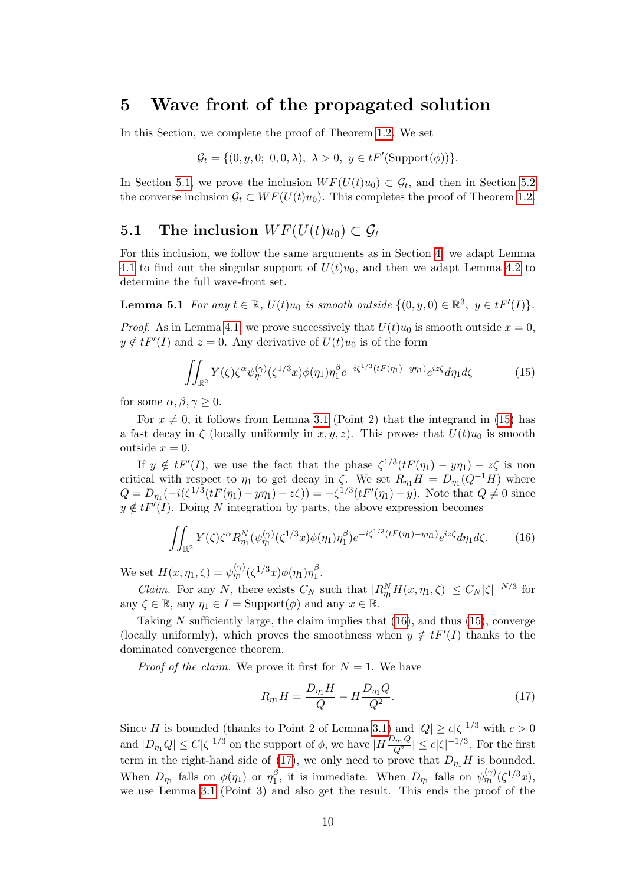## <span id="page-9-0"></span>5 Wave front of the propagated solution

In this Section, we complete the proof of Theorem [1.2.](#page-2-3) We set

$$
\mathcal{G}_t = \{ (0, y, 0; 0, 0, \lambda), \lambda > 0, y \in tF'(\text{Support}(\phi)) \}.
$$

In Section [5.1,](#page-9-1) we prove the inclusion  $WF(U(t)u_0) \subset \mathcal{G}_t$ , and then in Section [5.2](#page-10-1) the converse inclusion  $\mathcal{G}_t \subset WF(U(t)u_0)$ . This completes the proof of Theorem [1.2.](#page-2-3)

### <span id="page-9-1"></span>**5.1** The inclusion  $WF(U(t)u_0) \subset G_t$

For this inclusion, we follow the same arguments as in Section [4:](#page-7-0) we adapt Lemma [4.1](#page-7-4) to find out the singular support of  $U(t)u_0$ , and then we adapt Lemma [4.2](#page-8-2) to determine the full wave-front set.

**Lemma 5.1** For any  $t \in \mathbb{R}$ ,  $U(t)u_0$  is smooth outside  $\{(0, y, 0) \in \mathbb{R}^3$ ,  $y \in tF'(I)\}$ .

*Proof.* As in Lemma [4.1,](#page-7-4) we prove successively that  $U(t)u_0$  is smooth outside  $x = 0$ ,  $y \notin tF'(I)$  and  $z = 0$ . Any derivative of  $U(t)u_0$  is of the form

<span id="page-9-2"></span>
$$
\iint_{\mathbb{R}^2} Y(\zeta) \zeta^{\alpha} \psi_{\eta_1}^{(\gamma)}(\zeta^{1/3} x) \phi(\eta_1) \eta_1^{\beta} e^{-i\zeta^{1/3} (tF(\eta_1) - y\eta_1)} e^{iz\zeta} d\eta_1 d\zeta \tag{15}
$$

for some  $\alpha, \beta, \gamma \geq 0$ .

For  $x \neq 0$ , it follows from Lemma [3.1](#page-6-1) (Point 2) that the integrand in [\(15\)](#page-9-2) has a fast decay in  $\zeta$  (locally uniformly in x, y, z). This proves that  $U(t)u_0$  is smooth outside  $x = 0$ .

If  $y \notin tF'(I)$ , we use the fact that the phase  $\zeta^{1/3}(tF(\eta_1) - y\eta_1) - z\zeta$  is non critical with respect to  $\eta_1$  to get decay in  $\zeta$ . We set  $R_{\eta_1}H = D_{\eta_1}(Q^{-1}H)$  where  $Q = D_{\eta_1}(-i(\zeta^{1/3}(tF(\eta_1) - y\eta_1) - z\zeta)) = -\zeta^{1/3}(tF'(\eta_1) - y)$ . Note that  $Q \neq 0$  since  $y \notin tF'(I)$ . Doing N integration by parts, the above expression becomes

<span id="page-9-3"></span>
$$
\iint_{\mathbb{R}^2} Y(\zeta) \zeta^{\alpha} R_{\eta_1}^N(\psi_{\eta_1}^{(\gamma)}(\zeta^{1/3}x)\phi(\eta_1)\eta_1^{\beta})e^{-i\zeta^{1/3}(tF(\eta_1)-y\eta_1)}e^{iz\zeta}d\eta_1 d\zeta.
$$
 (16)

We set  $H(x, \eta_1, \zeta) = \psi_{\eta_1}^{(\gamma)}(\zeta^{1/3}x)\phi(\eta_1)\eta_1^{\beta}$  $\frac{\rho}{1}$ .

*Claim.* For any N, there exists  $C_N$  such that  $|R_{\eta_1}^N H(x, \eta_1, \zeta)| \leq C_N |\zeta|^{-N/3}$  for any  $\zeta \in \mathbb{R}$ , any  $\eta_1 \in I = \text{Support}(\phi)$  and any  $x \in \mathbb{R}$ .

Taking  $N$  sufficiently large, the claim implies that  $(16)$ , and thus  $(15)$ , converge (locally uniformly), which proves the smoothness when  $y \notin tF'(I)$  thanks to the dominated convergence theorem.

*Proof of the claim.* We prove it first for  $N = 1$ . We have

<span id="page-9-4"></span>
$$
R_{\eta_1} H = \frac{D_{\eta_1} H}{Q} - H \frac{D_{\eta_1} Q}{Q^2}.
$$
\n(17)

Since H is bounded (thanks to Point 2 of Lemma [3.1\)](#page-6-1) and  $|Q| \ge c |\zeta|^{1/3}$  with  $c > 0$ and  $|D_{\eta_1}Q| \leq C|\zeta|^{1/3}$  on the support of  $\phi$ , we have  $|H\frac{D_{\eta_1}Q}{Q^2}|\leq c|\zeta|^{-1/3}$ . For the first term in the right-hand side of [\(17\)](#page-9-4), we only need to prove that  $D_{\eta_1}H$  is bounded. When  $D_{\eta_1}$  falls on  $\phi(\eta_1)$  or  $\eta_1^{\beta}$  $\int_{1}^{\beta}$ , it is immediate. When  $D_{\eta_1}$  falls on  $\psi_{\eta_1}^{(\gamma)}(\zeta^{1/3}x)$ , we use Lemma [3.1](#page-6-1) (Point 3) and also get the result. This ends the proof of the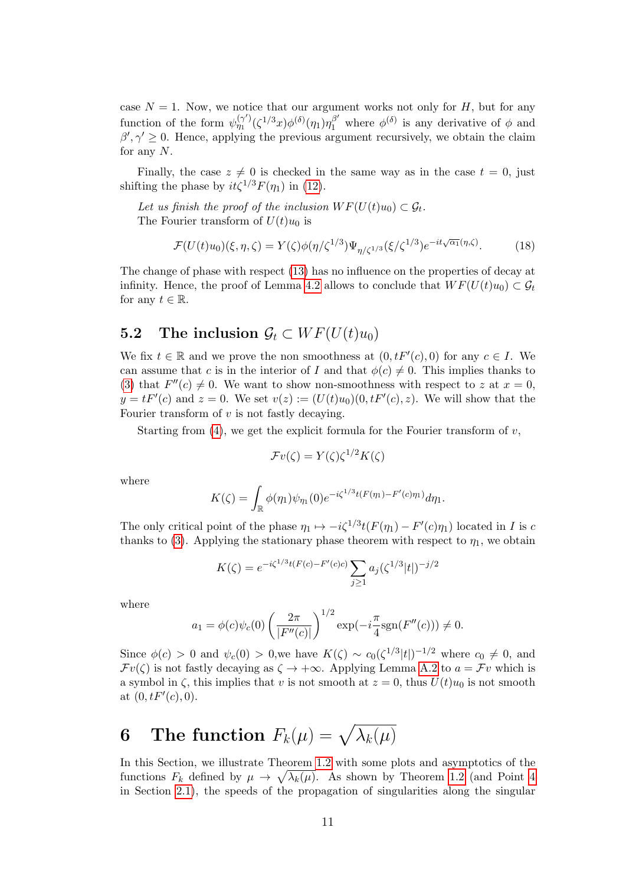case  $N = 1$ . Now, we notice that our argument works not only for H, but for any function of the form  $\psi_{\eta_1}^{(\gamma')}(\zeta^{1/3}x)\phi^{(\delta)}(\eta_1)\eta_1^{\beta'}$  where  $\phi^{(\delta)}$  is any derivative of  $\phi$  and  $\beta', \gamma' \geq 0$ . Hence, applying the previous argument recursively, we obtain the claim for any  $N$ .

Finally, the case  $z \neq 0$  is checked in the same way as in the case  $t = 0$ , just shifting the phase by  $it\zeta^{1/3}F(\eta_1)$  in [\(12\)](#page-8-0).

Let us finish the proof of the inclusion  $WF(U(t)u_0) \subset \mathcal{G}_t$ . The Fourier transform of  $U(t)u_0$  is

$$
\mathcal{F}(U(t)u_0)(\xi,\eta,\zeta) = Y(\zeta)\phi(\eta/\zeta^{1/3})\Psi_{\eta/\zeta^{1/3}}(\xi/\zeta^{1/3})e^{-it\sqrt{\alpha_1}(\eta,\zeta)}.\tag{18}
$$

The change of phase with respect [\(13\)](#page-8-3) has no influence on the properties of decay at infinity. Hence, the proof of Lemma [4.2](#page-8-2) allows to conclude that  $WF(U(t)u_0) \subset \mathcal{G}_t$ for any  $t \in \mathbb{R}$ .

#### <span id="page-10-1"></span>**5.2** The inclusion  $\mathcal{G}_t \subset WF(U(t)u_0)$

We fix  $t \in \mathbb{R}$  and we prove the non smoothness at  $(0, tF'(c), 0)$  for any  $c \in I$ . We can assume that c is in the interior of I and that  $\phi(c) \neq 0$ . This implies thanks to [\(3\)](#page-2-5) that  $F''(c) \neq 0$ . We want to show non-smoothness with respect to z at  $x = 0$ ,  $y = tF'(c)$  and  $z = 0$ . We set  $v(z) := (U(t)u_0)(0, tF'(c), z)$ . We will show that the Fourier transform of  $v$  is not fastly decaying.

Starting from  $(4)$ , we get the explicit formula for the Fourier transform of  $v$ ,

$$
\mathcal{F}v(\zeta) = Y(\zeta)\zeta^{1/2}K(\zeta)
$$

where

$$
K(\zeta) = \int_{\mathbb{R}} \phi(\eta_1) \psi_{\eta_1}(0) e^{-i\zeta^{1/3}t(F(\eta_1) - F'(c)\eta_1)} d\eta_1.
$$

The only critical point of the phase  $\eta_1 \mapsto -i\zeta^{1/3} t(F(\eta_1) - F'(c)\eta_1)$  located in I is c thanks to [\(3\)](#page-2-5). Applying the stationary phase theorem with respect to  $\eta_1$ , we obtain

$$
K(\zeta) = e^{-i\zeta^{1/3}t(F(c) - F'(c)c)} \sum_{j \ge 1} a_j (\zeta^{1/3}|t|)^{-j/2}
$$

where

$$
a_1 = \phi(c)\psi_c(0) \left(\frac{2\pi}{|F''(c)|}\right)^{1/2} \exp(-i\frac{\pi}{4}\text{sgn}(F''(c))) \neq 0.
$$

Since  $\phi(c) > 0$  and  $\psi_c(0) > 0$ , we have  $K(\zeta) \sim c_0(\zeta^{1/3}|t|)^{-1/2}$  where  $c_0 \neq 0$ , and  $\mathcal{F}v(\zeta)$  is not fastly decaying as  $\zeta \to +\infty$ . Applying Lemma [A.2](#page-12-1) to  $a = \mathcal{F}v$  which is a symbol in  $\zeta$ , this implies that v is not smooth at  $z = 0$ , thus  $U(t)u_0$  is not smooth at  $(0, tF'(c), 0)$ .

# <span id="page-10-0"></span>6 The function  $F_k(\mu) = \sqrt{\lambda_k(\mu)}$

In this Section, we illustrate Theorem [1.2](#page-2-3) with some plots and asymptotics of the functions  $F_k$  defined by  $\mu \to \sqrt{\lambda_k(\mu)}$ . As shown by Theorem [1.2](#page-2-3) (and Point [4](#page-4-3) in Section [2.1\)](#page-4-1), the speeds of the propagation of singularities along the singular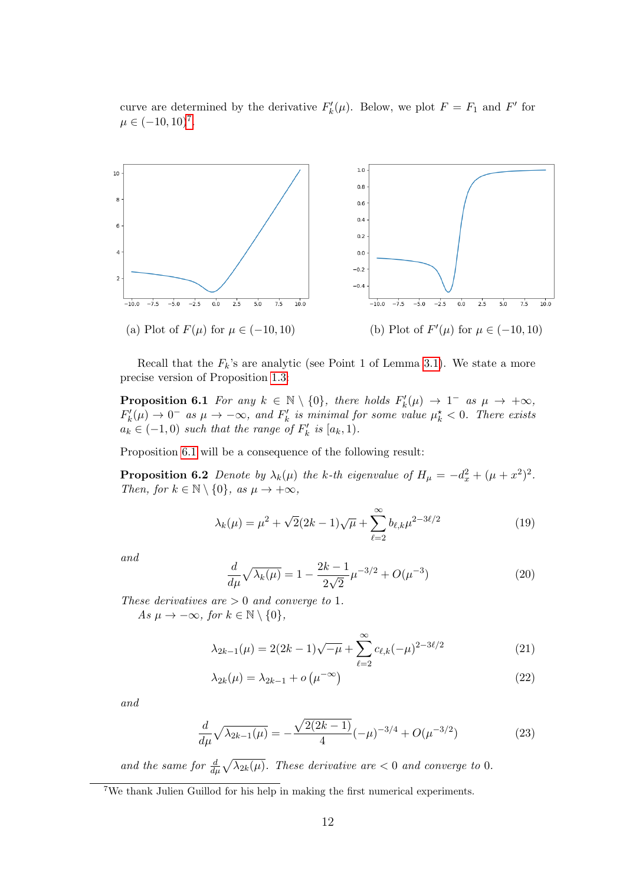curve are determined by the derivative  $F'_k(\mu)$ . Below, we plot  $F = F_1$  and  $F'$  for  $\mu \in (-10, 10)^7$  $\mu \in (-10, 10)^7$ .



Recall that the  $F_k$ 's are analytic (see Point 1 of Lemma [3.1\)](#page-6-1). We state a more precise version of Proposition [1.3:](#page-3-2)

**Proposition 6.1** For any  $k \in \mathbb{N} \setminus \{0\}$ , there holds  $F'_k(\mu) \to 1^-$  as  $\mu \to +\infty$ ,  $F'_k(\mu) \to 0^-$  as  $\mu \to -\infty$ , and  $F'_k$  is minimal for some value  $\mu_k^* < 0$ . There exists  $a_k \in (-1,0)$  such that the range of  $F'_k$  is  $[a_k,1)$ .

Proposition [6.1](#page-11-0) will be a consequence of the following result:

**Proposition 6.2** Denote by  $\lambda_k(\mu)$  the k-th eigenvalue of  $H_\mu = -d_x^2 + (\mu + x^2)^2$ . Then, for  $k \in \mathbb{N} \setminus \{0\}$ , as  $\mu \to +\infty$ ,

<span id="page-11-3"></span><span id="page-11-2"></span><span id="page-11-0"></span>
$$
\lambda_k(\mu) = \mu^2 + \sqrt{2}(2k - 1)\sqrt{\mu} + \sum_{\ell=2}^{\infty} b_{\ell,k} \mu^{2 - 3\ell/2}
$$
 (19)

and

<span id="page-11-5"></span><span id="page-11-4"></span>
$$
\frac{d}{d\mu}\sqrt{\lambda_k(\mu)} = 1 - \frac{2k - 1}{2\sqrt{2}}\mu^{-3/2} + O(\mu^{-3})
$$
\n(20)

These derivatives are  $> 0$  and converge to 1.

As  $\mu \to -\infty$ , for  $k \in \mathbb{N} \setminus \{0\}$ ,

$$
\lambda_{2k-1}(\mu) = 2(2k-1)\sqrt{-\mu} + \sum_{\ell=2}^{\infty} c_{\ell,k}(-\mu)^{2-3\ell/2}
$$
 (21)

<span id="page-11-7"></span><span id="page-11-6"></span>
$$
\lambda_{2k}(\mu) = \lambda_{2k-1} + o\left(\mu^{-\infty}\right) \tag{22}
$$

and

$$
\frac{d}{d\mu}\sqrt{\lambda_{2k-1}(\mu)} = -\frac{\sqrt{2(2k-1)}}{4}(-\mu)^{-3/4} + O(\mu^{-3/2})
$$
\n(23)

and the same for  $\frac{d}{d\mu}\sqrt{\lambda_{2k}(\mu)}$ . These derivative are  $< 0$  and converge to 0.

<span id="page-11-1"></span><sup>7</sup>We thank Julien Guillod for his help in making the first numerical experiments.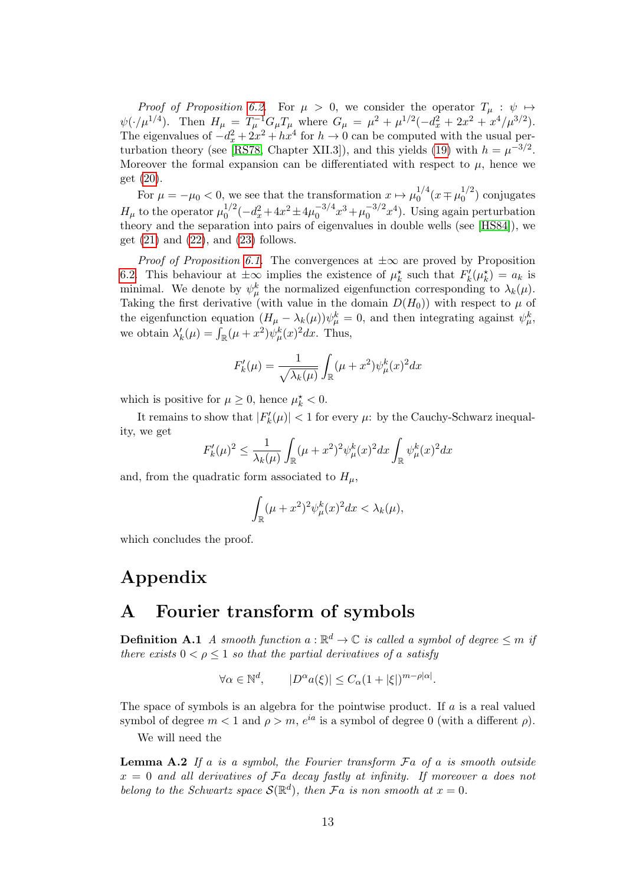Proof of Proposition [6.2.](#page-11-2) For  $\mu > 0$ , we consider the operator  $T_{\mu} : \psi \mapsto$  $\psi(\cdot/\mu^{1/4})$ . Then  $H_{\mu} = T_{\mu}^{-1} G_{\mu} T_{\mu}$  where  $G_{\mu} = \mu^2 + \mu^{1/2}(-d_x^2 + 2x^2 + x^4/\mu^{3/2})$ . The eigenvalues of  $-d_x^2 + 2x^2 + hx^4$  for  $h \to 0$  can be computed with the usual per-turbation theory (see [\[RS78,](#page-14-11) Chapter XII.3]), and this yields [\(19\)](#page-11-3) with  $h = \mu^{-3/2}$ . Moreover the formal expansion can be differentiated with respect to  $\mu$ , hence we get [\(20\)](#page-11-4).

For  $\mu = -\mu_0 < 0$ , we see that the transformation  $x \mapsto \mu_0^{1/4}$  $^{1/4}_{0}(x \mp \mu_0^{1/2})$  $\binom{1}{0}$  conjugates  $H_{\mu}$  to the operator  $\mu_0^{1/2}$  $\frac{1}{2}(-d_x^2+4x^2\pm 4\mu_0^{-3/4})$  $6^{3/4}x^3 + \mu_0^{-3/2}$  $\binom{-3}{2}x^4$ . Using again perturbation theory and the separation into pairs of eigenvalues in double wells (see [\[HS84\]](#page-13-11)), we get  $(21)$  and  $(22)$ , and  $(23)$  follows.

*Proof of Proposition [6.1.](#page-11-0)* The convergences at  $\pm\infty$  are proved by Proposition [6.2.](#page-11-2) This behaviour at  $\pm \infty$  implies the existence of  $\mu_k^*$  such that  $F'_k(\mu_k^*) = a_k$  is minimal. We denote by  $\psi^k_\mu$  the normalized eigenfunction corresponding to  $\lambda_k(\mu)$ . Taking the first derivative (with value in the domain  $D(H_0)$ ) with respect to  $\mu$  of the eigenfunction equation  $(H_\mu - \lambda_k(\mu))\psi_\mu^k = 0$ , and then integrating against  $\psi_\mu^k$ , we obtain  $\lambda'_k(\mu) = \int_{\mathbb{R}} (\mu + x^2) \psi^k_\mu(x)^2 dx$ . Thus,

$$
F'_{k}(\mu) = \frac{1}{\sqrt{\lambda_k(\mu)}} \int_{\mathbb{R}} (\mu + x^2) \psi_{\mu}^{k}(x)^2 dx
$$

which is positive for  $\mu \geq 0$ , hence  $\mu_k^* < 0$ .

It remains to show that  $|F'_{k}(\mu)| < 1$  for every  $\mu$ : by the Cauchy-Schwarz inequality, we get

$$
F'_{k}(\mu)^{2} \leq \frac{1}{\lambda_{k}(\mu)} \int_{\mathbb{R}} (\mu + x^{2})^{2} \psi_{\mu}^{k}(x)^{2} dx \int_{\mathbb{R}} \psi_{\mu}^{k}(x)^{2} dx
$$

and, from the quadratic form associated to  $H_{\mu}$ ,

$$
\int_{\mathbb{R}} (\mu + x^2)^2 \psi_{\mu}^k(x)^2 dx < \lambda_k(\mu),
$$

which concludes the proof.

## Appendix

### A Fourier transform of symbols

<span id="page-12-0"></span>**Definition A.1** A smooth function  $a : \mathbb{R}^d \to \mathbb{C}$  is called a symbol of degree  $\leq m$  if there exists  $0 < \rho < 1$  so that the partial derivatives of a satisfy

<span id="page-12-1"></span>
$$
\forall \alpha \in \mathbb{N}^d, \qquad |D^{\alpha}a(\xi)| \le C_{\alpha}(1+|\xi|)^{m-\rho|\alpha|}.
$$

The space of symbols is an algebra for the pointwise product. If  $a$  is a real valued symbol of degree  $m < 1$  and  $\rho > m$ ,  $e^{ia}$  is a symbol of degree 0 (with a different  $\rho$ ).

We will need the

**Lemma A.2** If a is a symbol, the Fourier transform  $Fa$  of a is smooth outside  $x = 0$  and all derivatives of  $Fa$  decay fastly at infinity. If moreover a does not belong to the Schwartz space  $\mathcal{S}(\mathbb{R}^d)$ , then  $\mathcal{F}a$  is non smooth at  $x=0$ .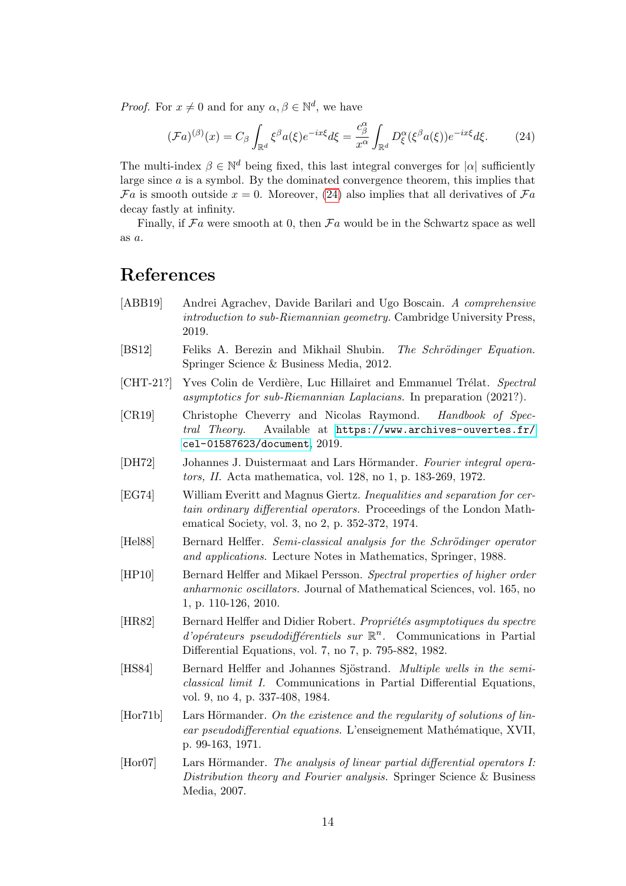*Proof.* For  $x \neq 0$  and for any  $\alpha, \beta \in \mathbb{N}^d$ , we have

<span id="page-13-12"></span>
$$
(\mathcal{F}a)^{(\beta)}(x) = C_{\beta} \int_{\mathbb{R}^d} \xi^{\beta} a(\xi) e^{-ix\xi} d\xi = \frac{c_{\beta}^{\alpha}}{x^{\alpha}} \int_{\mathbb{R}^d} D_{\xi}^{\alpha} (\xi^{\beta} a(\xi)) e^{-ix\xi} d\xi.
$$
 (24)

The multi-index  $\beta \in \mathbb{N}^d$  being fixed, this last integral converges for  $|\alpha|$  sufficiently large since a is a symbol. By the dominated convergence theorem, this implies that  $\mathcal{F}a$  is smooth outside  $x = 0$ . Moreover, [\(24\)](#page-13-12) also implies that all derivatives of  $\mathcal{F}a$ decay fastly at infinity.

Finally, if  $Fa$  were smooth at 0, then  $Fa$  would be in the Schwartz space as well as a.

# References

- <span id="page-13-3"></span>[ABB19] Andrei Agrachev, Davide Barilari and Ugo Boscain. A comprehensive introduction to sub-Riemannian geometry. Cambridge University Press, 2019.
- <span id="page-13-7"></span>[BS12] Feliks A. Berezin and Mikhail Shubin. The Schrödinger Equation. Springer Science & Business Media, 2012.
- <span id="page-13-4"></span>[CHT-21?] Yves Colin de Verdière, Luc Hillairet and Emmanuel Trélat. Spectral asymptotics for sub-Riemannian Laplacians. In preparation (2021?).
- <span id="page-13-8"></span>[CR19] Christophe Cheverry and Nicolas Raymond. Handbook of Spectral Theory. Available at [https://www.archives-ouvertes.fr/](https://www.archives-ouvertes.fr/cel-01587623/document) [cel-01587623/document](https://www.archives-ouvertes.fr/cel-01587623/document), 2019.
- <span id="page-13-0"></span>[DH72] Johannes J. Duistermaat and Lars Hörmander. Fourier integral operators, II. Acta mathematica, vol. 128, no 1, p. 183-269, 1972.
- <span id="page-13-6"></span>[EG74] William Everitt and Magnus Giertz. Inequalities and separation for certain ordinary differential operators. Proceedings of the London Mathematical Society, vol. 3, no 2, p. 352-372, 1974.
- <span id="page-13-9"></span>[Hel88] Bernard Helffer. Semi-classical analysis for the Schrödinger operator and applications. Lecture Notes in Mathematics, Springer, 1988.
- <span id="page-13-5"></span>[HP10] Bernard Helffer and Mikael Persson. Spectral properties of higher order anharmonic oscillators. Journal of Mathematical Sciences, vol. 165, no 1, p. 110-126, 2010.
- <span id="page-13-10"></span>[HR82] Bernard Helffer and Didier Robert. *Propriétés asymptotiques du spectre*  $d'opérateurs pseudodifférentiels sur  $\mathbb{R}^n$ . Communications in Partial$ Differential Equations, vol. 7, no 7, p. 795-882, 1982.
- <span id="page-13-11"></span>[HS84] Bernard Helffer and Johannes Sjöstrand. *Multiple wells in the semi*classical limit I. Communications in Partial Differential Equations, vol. 9, no 4, p. 337-408, 1984.
- <span id="page-13-1"></span> $[Hor71b]$  Lars Hörmander. On the existence and the regularity of solutions of linear pseudodifferential equations. L'enseignement Mathématique, XVII, p. 99-163, 1971.
- <span id="page-13-2"></span>[Hor07] Lars Hörmander. The analysis of linear partial differential operators I: Distribution theory and Fourier analysis. Springer Science & Business Media, 2007.